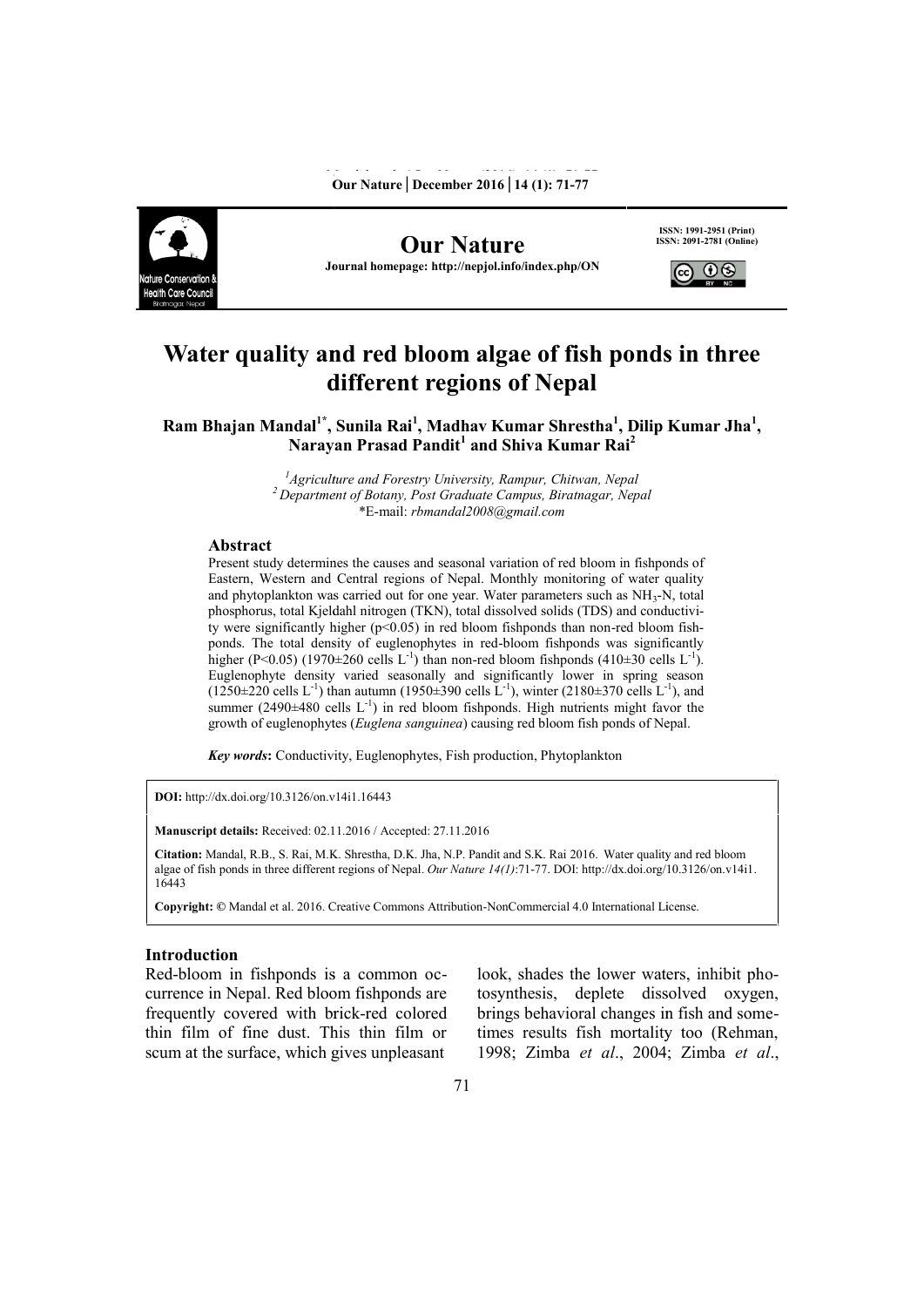

**Our Nature** *Journal homepage: http://nepjol.info/index.php/ON* **[ISSN: 2091-2781 (Online)<br>Journal homepage: http://nepjol.info/index.php/ON** 

**ISSN: 1991-2951 (Print) ISSN: 2091-2781 (Online)**



# **Water quality and red bloom algae of fish ponds in three quality and fish ponds different regions of Nepal**

**Ram Bhajan Mandal<sup>1\*</sup>, Sunila Rai<sup>1</sup>, Madhav Kumar Shrestha<sup>1</sup>, Dilip Kumar Jha<sup>1</sup>, Narayan Prasad Pandit<sup>1</sup> and Shiva Kumar Rai<sup>2</sup> Narayan Prasad Pandit<sup>1</sup> and Shiva Kumar Rai<sup>2</sup>**

> <sup>1</sup> *Agriculture and Forestry University, Rampur, Chitwan, Nepal*<br><sup>2</sup> Department of Botany, Post Graduate Campus, Biratnagar, Nepal \*E-mail: *rbmandal2008@gmail.com*

#### **Abstract**

Present study determines the causes and seasonal variation of red bloom in fishponds of Present study determines the causes and seasonal variation of red bloom in fishponds of<br>Eastern, Western and Central regions of Nepal. Monthly monitoring of water quality and phytoplankton was carried out for one year. Water parameters such as NH<sub>3</sub>-N, total phosphorus, total Kjeldahl nitrogen (TKN), total dissolved solids (TDS) and conductivity were significantly higher  $(p<0.05)$  in red bloom fishponds than non-red bloom fishponds. The total density of euglenophytes in red-bloom fishponds was significantly and phytoplankton was carried out for one year. Water parameters such as NH<sub>3</sub>-N, total phosphorus, total Kjeldahl nitrogen (TKN), total dissolved solids (TDS) and conductivity were significantly higher (p<0.05) in red bl Euglenophyte density varied seasonally and significantly lower in spring season  $(1250 \pm 220 \text{ cells L}^{-1})$  than autumn  $(1950 \pm 390 \text{ cells L}^{-1})$ , winter  $(2180 \pm 370 \text{ cells L}^{-1})$ , and summer  $(2490\pm480 \text{ cells } L^{-1})$  in red bloom fishponds. High nutrients might favor the growth of euglenophytes (*Euglena sanguinea*) causing red bloom fish ponds of Nepal.  $[P<0.05)$  (1970±260 cells L<sup>-1</sup>) than non-red bloom fishponds (410±30 cells L<sup>-1</sup>).<br>pphyte density varied seasonally and significantly lower in spring season<br>220 cells L<sup>-1</sup>) than autumn (1950±390 cells L<sup>-1</sup>), winter (21 *Agriculture and Forestry University, Rampur, Chivarsity, Barylin, Pointains (Rehman, Pointains Fig. 210partment of Botamy. Post Graduate Campus. Birangar, Nepal<br> Stract Campus the constrained Properties (Repall Policy Po* 

*Key words***:** Conductivity, Euglenophytes, Fish production, Phytoplankton *words***:**

**DOI:** http://dx.doi.org/10.3126/on.v14i1.16443

**Manuscript details:** Received: 02.11.2016 / Accepted: 27.11.2016

**Citation:** Mandal, R.B., S. Rai, M.K. Shrestha, D.K. Jha, N.P. Pandit and S.K. Rai 2016. Water quality and red bloom algae of fish ponds in three different regions of Nepal. *Our Nature*  $14(1)$ :71-77. DOI: http://dx.doi.org/10.3126/on.v14i1. 16443

Copyright: © Mandal et al. 2016. Creative Commons Attribution-NonCommercial 4.0 International License.

## **Introduction**

Red-bloom in fishponds is a common occurrence in Nepal. Red bloom fishponds are frequently covered with brick-red colored thin film of fine dust. This thin film or scum at the surface, which gives unpleasant

look, shades the lower waters, inhibit photosynthesis, deplete dissolved oxygen, brings behavioral changes in fish and sometimes results fish mortality too (Rehman, 1998; Zimba *et al*., 2004; Zimba *et al*., Form in fishponds is a common oc-<br>  $\frac{1}{10}$  in Nepal. Red bloom fishponds are<br>  $\frac{1}{10}$  to to to to to to to to to the surface, with brick-red colored<br>  $\frac{1}{10}$  to to thing the surface, which gives unpleasant<br>  $\frac{1$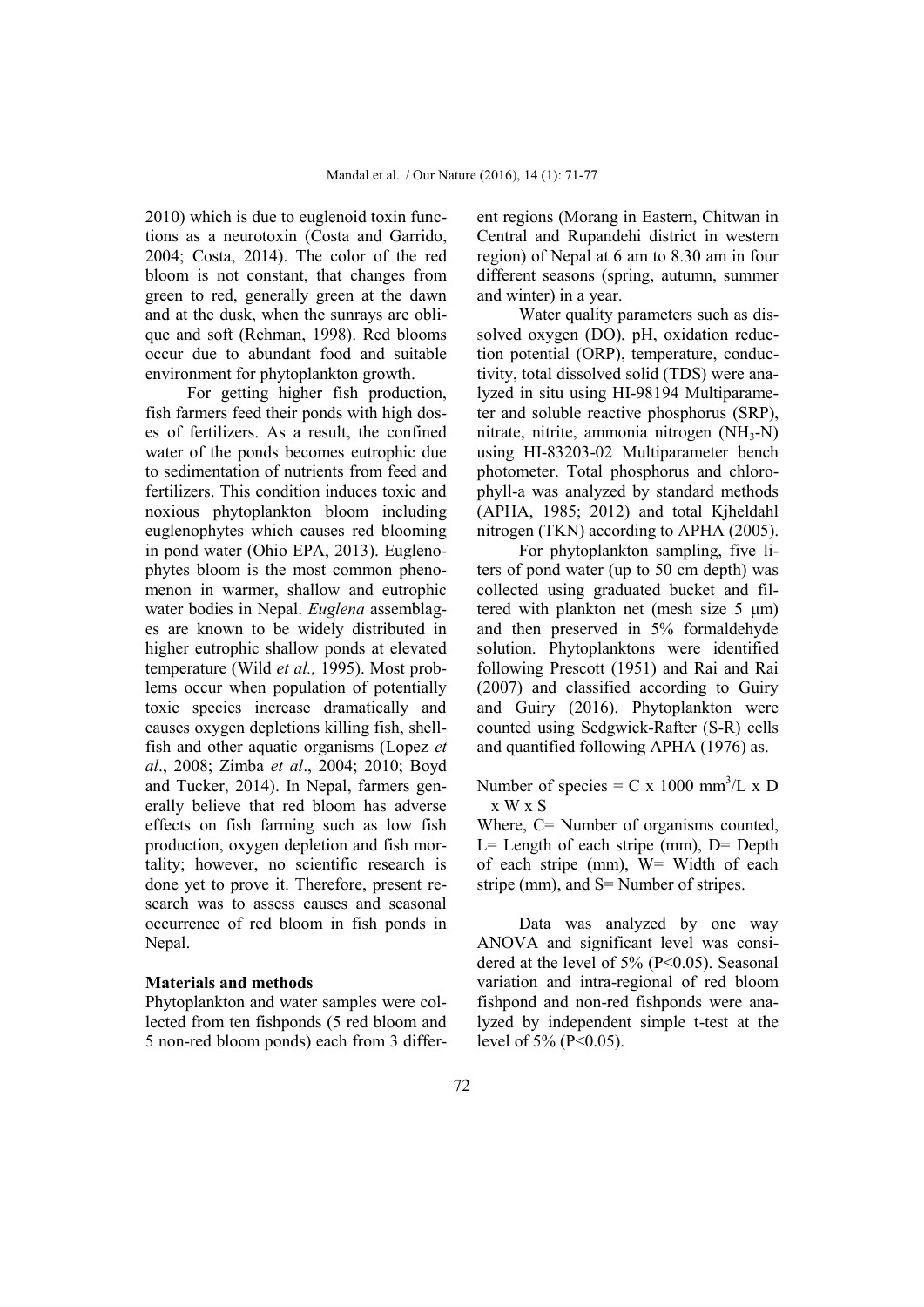2010) which is due to euglenoid toxin functions as a neurotoxin (Costa and Garrido, 2004; Costa, 2014). The color of the red bloom is not constant, that changes from green to red, generally green at the dawn and at the dusk, when the sunrays are oblique and soft (Rehman, 1998). Red blooms occur due to abundant food and suitable environment for phytoplankton growth.

For getting higher fish production, fish farmers feed their ponds with high doses of fertilizers. As a result, the confined water of the ponds becomes eutrophic due to sedimentation of nutrients from feed and fertilizers. This condition induces toxic and noxious phytoplankton bloom including euglenophytes which causes red blooming in pond water (Ohio EPA, 2013). Euglenophytes bloom is the most common phenomenon in warmer, shallow and eutrophic water bodies in Nepal. *Euglena* assemblages are known to be widely distributed in higher eutrophic shallow ponds at elevated temperature (Wild *et al.,* 1995). Most problems occur when population of potentially toxic species increase dramatically and causes oxygen depletions killing fish, shellfish and other aquatic organisms (Lopez *et al*., 2008; Zimba *et al*., 2004; 2010; Boyd and Tucker, 2014). In Nepal, farmers generally believe that red bloom has adverse effects on fish farming such as low fish production, oxygen depletion and fish mortality; however, no scientific research is done yet to prove it. Therefore, present research was to assess causes and seasonal occurrence of red bloom in fish ponds in Nepal.

### **Materials and methods**

Phytoplankton and water samples were collected from ten fishponds (5 red bloom and 5 non-red bloom ponds) each from 3 different regions (Morang in Eastern, Chitwan in Central and Rupandehi district in western region) of Nepal at 6 am to 8.30 am in four different seasons (spring, autumn, summer and winter) in a year.

Water quality parameters such as dissolved oxygen (DO), pH, oxidation reduction potential (ORP), temperature, conductivity, total dissolved solid (TDS) were analyzed in situ using HI-98194 Multiparameter and soluble reactive phosphorus (SRP), nitrate, nitrite, ammonia nitrogen (NH3-N) using HI-83203-02 Multiparameter bench photometer. Total phosphorus and chlorophyll-a was analyzed by standard methods (APHA, 1985; 2012) and total Kjheldahl nitrogen (TKN) according to APHA (2005).

For phytoplankton sampling, five liters of pond water (up to 50 cm depth) was collected using graduated bucket and filtered with plankton net (mesh size 5 μm) and then preserved in 5% formaldehyde solution. Phytoplanktons were identified following Prescott (1951) and Rai and Rai (2007) and classified according to Guiry and Guiry (2016). Phytoplankton were counted using Sedgwick-Rafter (S-R) cells and quantified following APHA (1976) as.

Number of species = C x 1000 mm<sup>3</sup>/L x D x W x S

Where, C= Number of organisms counted,  $L =$  Length of each stripe (mm),  $D =$  Depth of each stripe (mm), W= Width of each stripe (mm), and S= Number of stripes.

Data was analyzed by one way ANOVA and significant level was considered at the level of  $5\%$  (P<0.05). Seasonal variation and intra-regional of red bloom fishpond and non-red fishponds were analyzed by independent simple t-test at the level of 5% (P<0.05).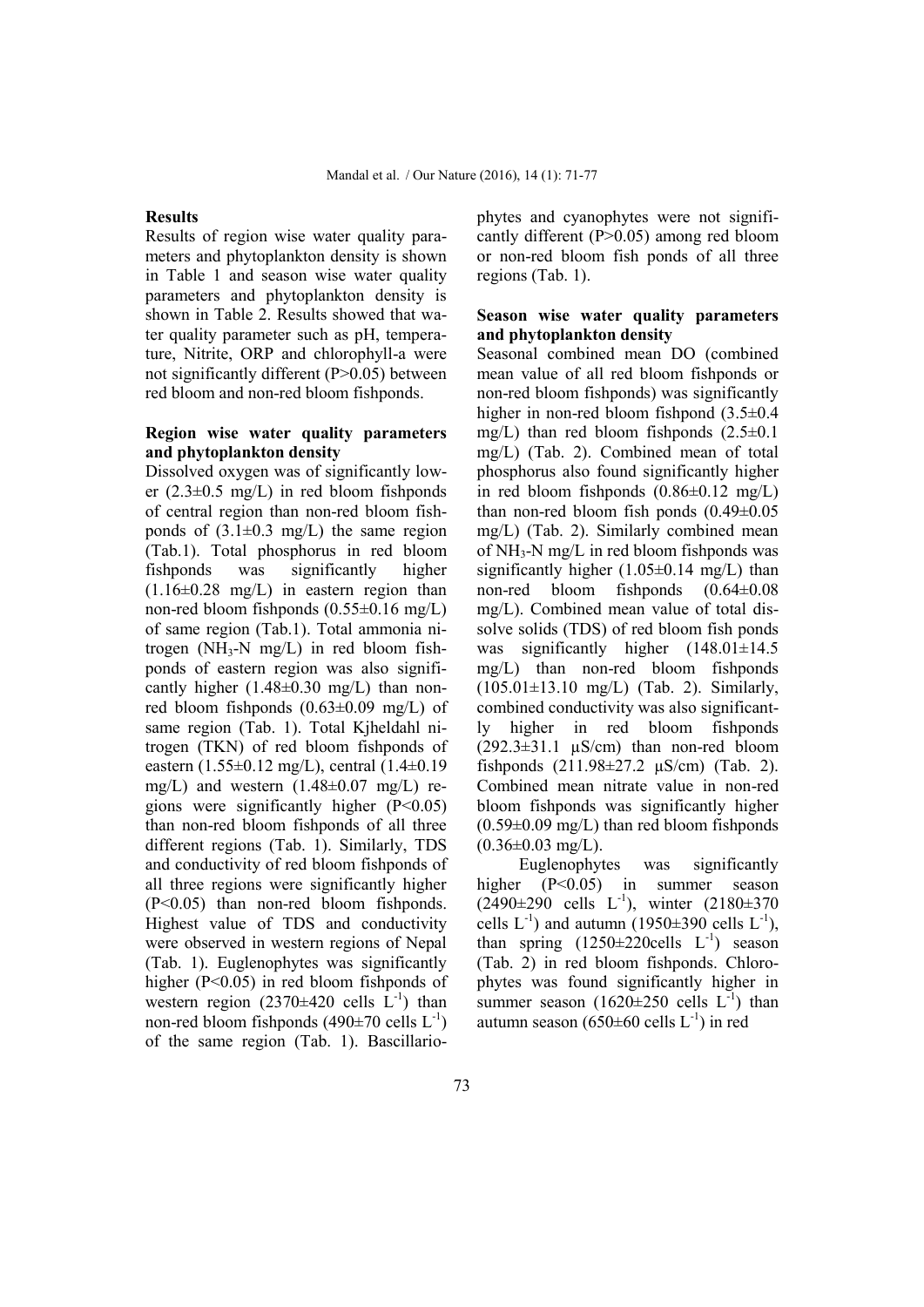#### **Results**

Results of region wise water quality parameters and phytoplankton density is shown in Table 1 and season wise water quality parameters and phytoplankton density is shown in Table 2. Results showed that water quality parameter such as pH, temperature, Nitrite, ORP and chlorophyll-a were not significantly different (P>0.05) between red bloom and non-red bloom fishponds.

## **Region wise water quality parameters and phytoplankton density**

Dissolved oxygen was of significantly lower  $(2.3\pm0.5 \text{ mg/L})$  in red bloom fishponds of central region than non-red bloom fishponds of  $(3.1\pm0.3 \text{ mg/L})$  the same region (Tab.1). Total phosphorus in red bloom fishponds was significantly higher  $(1.16\pm0.28 \text{ mg/L})$  in eastern region than non-red bloom fishponds (0.55±0.16 mg/L) of same region (Tab.1). Total ammonia nitrogen ( $NH_3-N$  mg/L) in red bloom fishponds of eastern region was also significantly higher  $(1.48\pm0.30 \text{ mg/L})$  than nonred bloom fishponds (0.63±0.09 mg/L) of same region (Tab. 1). Total Kjheldahl nitrogen (TKN) of red bloom fishponds of eastern (1.55±0.12 mg/L), central (1.4±0.19 mg/L) and western  $(1.48\pm0.07 \text{ mg/L})$  regions were significantly higher  $(P<0.05)$ than non-red bloom fishponds of all three different regions (Tab. 1). Similarly, TDS and conductivity of red bloom fishponds of all three regions were significantly higher (P<0.05) than non-red bloom fishponds. Highest value of TDS and conductivity were observed in western regions of Nepal (Tab. 1). Euglenophytes was significantly higher (P<0.05) in red bloom fishponds of western region  $(2370\pm420 \text{ cells } L^{-1})$  than non-red bloom fishponds (490 $\pm$ 70 cells L<sup>-1</sup>) of the same region (Tab. 1). Bascillario-

phytes and cyanophytes were not significantly different (P>0.05) among red bloom or non-red bloom fish ponds of all three regions (Tab. 1).

## **Season wise water quality parameters and phytoplankton density**

Seasonal combined mean DO (combined mean value of all red bloom fishponds or non-red bloom fishponds) was significantly higher in non-red bloom fishpond  $(3.5\pm0.4)$ mg/L) than red bloom fishponds (2.5±0.1 mg/L) (Tab. 2). Combined mean of total phosphorus also found significantly higher in red bloom fishponds  $(0.86\pm0.12 \text{ mg/L})$ than non-red bloom fish ponds (0.49±0.05 mg/L) (Tab. 2). Similarly combined mean of NH3-N mg/L in red bloom fishponds was significantly higher  $(1.05\pm0.14 \text{ mg/L})$  than non-red bloom fishponds (0.64±0.08 mg/L). Combined mean value of total dissolve solids (TDS) of red bloom fish ponds was significantly higher (148.01±14.5) mg/L) than non-red bloom fishponds (105.01±13.10 mg/L) (Tab. 2). Similarly, combined conductivity was also significantly higher in red bloom fishponds  $(292.3\pm31.1 \text{ }\mu\text{S/cm})$  than non-red bloom fishponds (211.98±27.2 µS/cm) (Tab. 2). Combined mean nitrate value in non-red bloom fishponds was significantly higher  $(0.59\pm0.09 \text{ mg/L})$  than red bloom fishponds  $(0.36\pm0.03 \text{ mg/L})$ .

Euglenophytes was significantly  $(P<0.05)$  in summer season  $(2490\pm290 \text{ cells } L^{-1})$ , winter  $(2180\pm370 \text{ cm})$ cells  $L^{-1}$ ) and autumn (1950 $\pm$ 390 cells  $L^{-1}$ ), than spring  $(1250\pm220$ cells  $L^{-1}$ ) season (Tab. 2) in red bloom fishponds. Chlorophytes was found significantly higher in summer season (1620 $\pm$ 250 cells L<sup>-1</sup>) than autumn season (650 $\pm$ 60 cells L<sup>-1</sup>) in red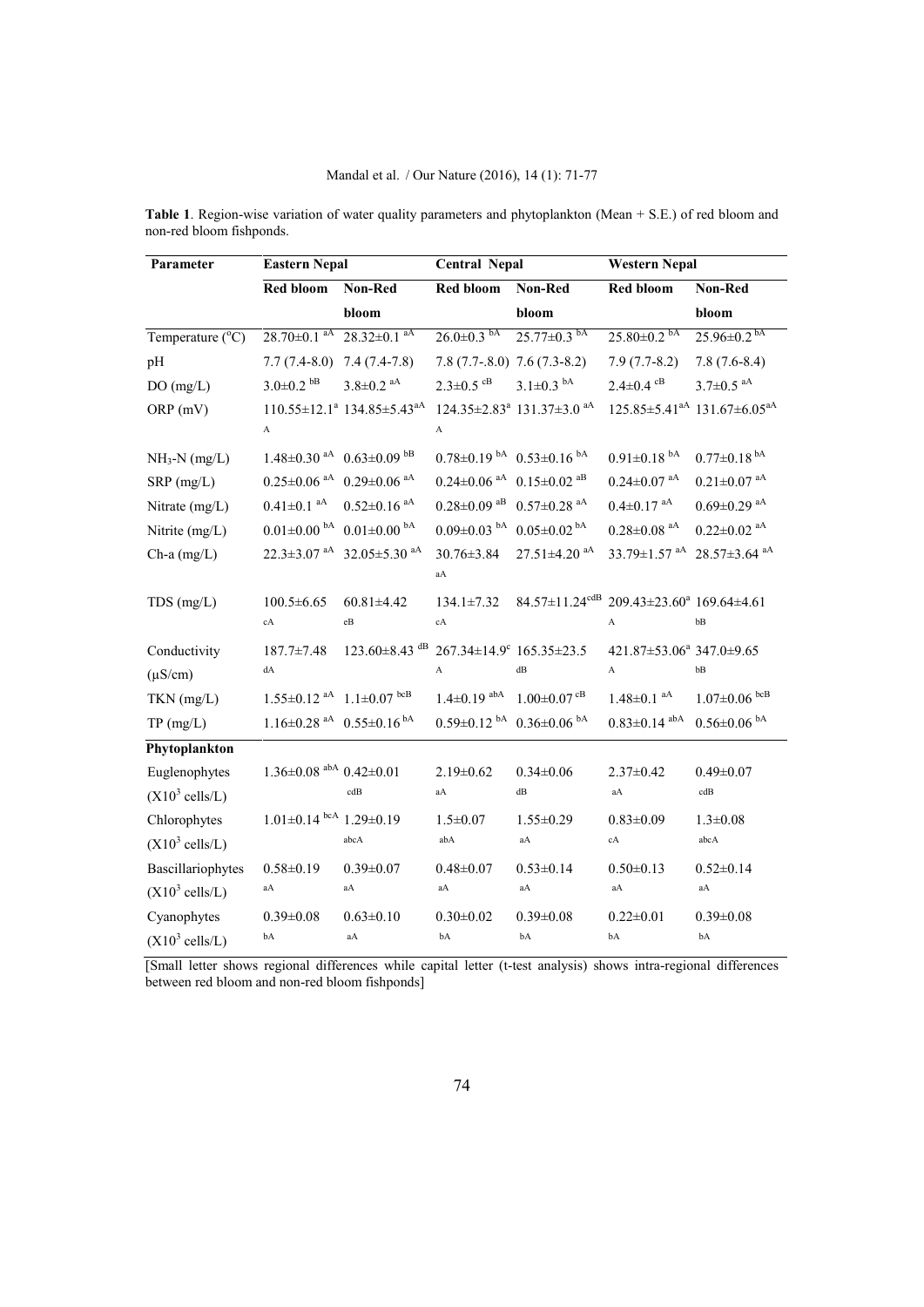## Mandal et al. / Our Nature (2016), 14 (1): 71-77

| Parameter                 | <b>Eastern Nepal</b>                                        |                                                                                | <b>Central Nepal</b>                    |                                                               | <b>Western Nepal</b>                              |                                                                 |  |
|---------------------------|-------------------------------------------------------------|--------------------------------------------------------------------------------|-----------------------------------------|---------------------------------------------------------------|---------------------------------------------------|-----------------------------------------------------------------|--|
|                           | <b>Red bloom</b>                                            | Non-Red                                                                        | Red bloom                               | Non-Red                                                       | Red bloom                                         | Non-Red                                                         |  |
|                           |                                                             | bloom                                                                          |                                         | bloom                                                         |                                                   | bloom                                                           |  |
| Temperature (°C)          | $28.70 \pm 0.1$ <sup>aA</sup>                               | $28.32 \pm 0.1$ <sup>aA</sup>                                                  | $26.0 \pm 0.3$ bA                       | $25.77 \pm 0.3$ bA                                            | $25.80\pm0.2$ bA                                  | $25.96 \pm 0.2$ <sup>bA</sup>                                   |  |
| pH                        | $7.7(7.4-8.0)$                                              | $7.4(7.4-7.8)$                                                                 |                                         | $7.8(7.7-8.0)$ $7.6(7.3-8.2)$                                 | $7.9(7.7-8.2)$                                    | $7.8(7.6-8.4)$                                                  |  |
| DO(mg/L)                  | $3.0 \pm 0.2$ bB                                            | $3.8 \pm 0.2$ <sup>aA</sup>                                                    | $2.3 \pm 0.5$ <sup>cB</sup>             | $3.1 \pm 0.3$ b <sup>A</sup>                                  | $2.4 \pm 0.4$ <sup>cB</sup>                       | $3.7 \pm 0.5$ <sup>aA</sup>                                     |  |
| ORP (mV)                  | A                                                           | $110.55 \pm 12.1^a$ 134.85 $\pm$ 5.43 <sup>aA</sup>                            | $\boldsymbol{\rm{A}}$                   | 124.35±2.83 <sup>ª</sup> 131.37±3.0 <sup>aA</sup>             |                                                   | $125.85 \pm 5.41$ <sup>aA</sup> $131.67 \pm 6.05$ <sup>aA</sup> |  |
| $NH3-N$ (mg/L)            | $1.48\pm0.30$ <sup>aA</sup> $0.63\pm0.09$ <sup>bB</sup>     |                                                                                |                                         | $0.78 \pm 0.19$ b <sup>A</sup> $0.53 \pm 0.16$ b <sup>A</sup> | $0.91 \pm 0.18$ <sup>bA</sup>                     | $0.77 \pm 0.18$ <sup>bA</sup>                                   |  |
| SRP (mg/L)                |                                                             | $0.25 \pm 0.06$ <sup>aA</sup> $0.29 \pm 0.06$ <sup>aA</sup>                    |                                         | $0.24 \pm 0.06$ aA $0.15 \pm 0.02$ aB                         | $0.24 \pm 0.07$ <sup>aA</sup>                     | $0.21 \pm 0.07$ <sup>aA</sup>                                   |  |
| Nitrate (mg/L)            | $0.41 \pm 0.1$ <sup>aA</sup>                                | $0.52 \pm 0.16$ <sup>aA</sup>                                                  |                                         | $0.28 \pm 0.09$ aB $0.57 \pm 0.28$ aA                         | $0.4 \pm 0.17$ <sup>aA</sup>                      | $0.69 \pm 0.29$ $^{\rm aA}$                                     |  |
| Nitrite (mg/L)            |                                                             | $0.01\pm0.00$ bA $0.01\pm0.00$ bA                                              | $0.09 \pm 0.03$ b $0.05 \pm 0.02$ b A   |                                                               | $0.28 \pm 0.08$ <sup>aA</sup>                     | $0.22 \pm 0.02$ <sup>aA</sup>                                   |  |
| $Ch-a$ (mg/L)             |                                                             | 22.3±3.07 <sup>aA</sup> 32.05±5.30 <sup>aA</sup>                               | $30.76 \pm 3.84$<br>$\rm{aA}$           | $27.51 \pm 4.20$ <sup>aA</sup>                                | 33.79±1.57 <sup>aA</sup> 28.57±3.64 <sup>aA</sup> |                                                                 |  |
| $TDS$ (mg/L)              | $100.5 \pm 6.65$<br>cA                                      | $60.81 \pm 4.42$<br>$\rm eB$                                                   | $134.1 \pm 7.32$<br>$\operatorname{cA}$ | $84.57 \pm 11.24$ <sup>cdB</sup>                              | 209.43±23.60 <sup>a</sup> 169.64±4.61<br>A        | bB                                                              |  |
| Conductivity              | $187.7 \pm 7.48$                                            | $123.60\pm8.43$ <sup>dB</sup> 267.34 $\pm$ 14.9 <sup>c</sup> 165.35 $\pm$ 23.5 |                                         |                                                               | 421.87±53.06 <sup>a</sup> 347.0±9.65              |                                                                 |  |
| $(\mu S/cm)$              | dA                                                          |                                                                                | A                                       | $\mathrm{dB}$                                                 | A                                                 | bB                                                              |  |
| TKN (mg/L)                | $1.55 \pm 0.12$ <sup>aA</sup> $1.1 \pm 0.07$ <sup>bcB</sup> |                                                                                | $1.4 \pm 0.19$ <sup>abA</sup>           | $1.00 \pm 0.07$ <sup>cB</sup>                                 | $1.48 \pm 0.1$ <sup>aA</sup>                      | $1.07 \pm 0.06$ bcB                                             |  |
| TP(mg/L)                  |                                                             | $1.16\pm0.28$ <sup>aA</sup> $0.55\pm0.16$ <sup>bA</sup>                        |                                         | $0.59\pm0.12$ <sup>bA</sup> $0.36\pm0.06$ <sup>bA</sup>       | $0.83 \pm 0.14$ <sup>abA</sup>                    | $0.56 \pm 0.06$ $^{\mathrm{bA}}$                                |  |
| Phytoplankton             |                                                             |                                                                                |                                         |                                                               |                                                   |                                                                 |  |
| Euglenophytes             | $1.36\pm0.08$ <sup>abA</sup> $0.42\pm0.01$                  |                                                                                | $2.19 \pm 0.62$                         | $0.34 \pm 0.06$                                               | $2.37 \pm 0.42$                                   | $0.49 \pm 0.07$                                                 |  |
| $(X10^3 \text{ cells/L})$ |                                                             | cdB                                                                            | aA                                      | dB                                                            | aA                                                | $\mathbf{cdB}$                                                  |  |
| Chlorophytes              | $1.01\pm0.14$ bcA $1.29\pm0.19$                             |                                                                                | $1.5 \pm 0.07$                          | $1.55 \pm 0.29$                                               | $0.83 \pm 0.09$                                   | $1.3 \pm 0.08$                                                  |  |
| $(X10^3 \text{ cells/L})$ |                                                             | abcA                                                                           | abA                                     | $\rm{aA}$                                                     | cA                                                | abcA                                                            |  |
| Bascillariophytes         | $0.58 \pm 0.19$                                             | $0.39 \pm 0.07$                                                                | $0.48 + 0.07$                           | $0.53 \pm 0.14$                                               | $0.50 \pm 0.13$                                   | $0.52 \pm 0.14$                                                 |  |
| $(X10^3 \text{ cells/L})$ | aA                                                          | aA                                                                             | aA                                      | $\rm{aA}$                                                     | aA                                                | aA                                                              |  |
| Cyanophytes               | $0.39 \pm 0.08$                                             | $0.63 \pm 0.10$                                                                | $0.30 \pm 0.02$                         | $0.39 \pm 0.08$                                               | $0.22 \pm 0.01$                                   | $0.39 \pm 0.08$                                                 |  |
| $(X10^3 \text{ cells/L})$ | bA                                                          | aA                                                                             | bA                                      | bA                                                            | bA                                                | bA                                                              |  |

**Table 1**. Region-wise variation of water quality parameters and phytoplankton (Mean + S.E.) of red bloom and non-red bloom fishponds.

[Small letter shows regional differences while capital letter (t-test analysis) shows intra-regional differences between red bloom and non-red bloom fishponds]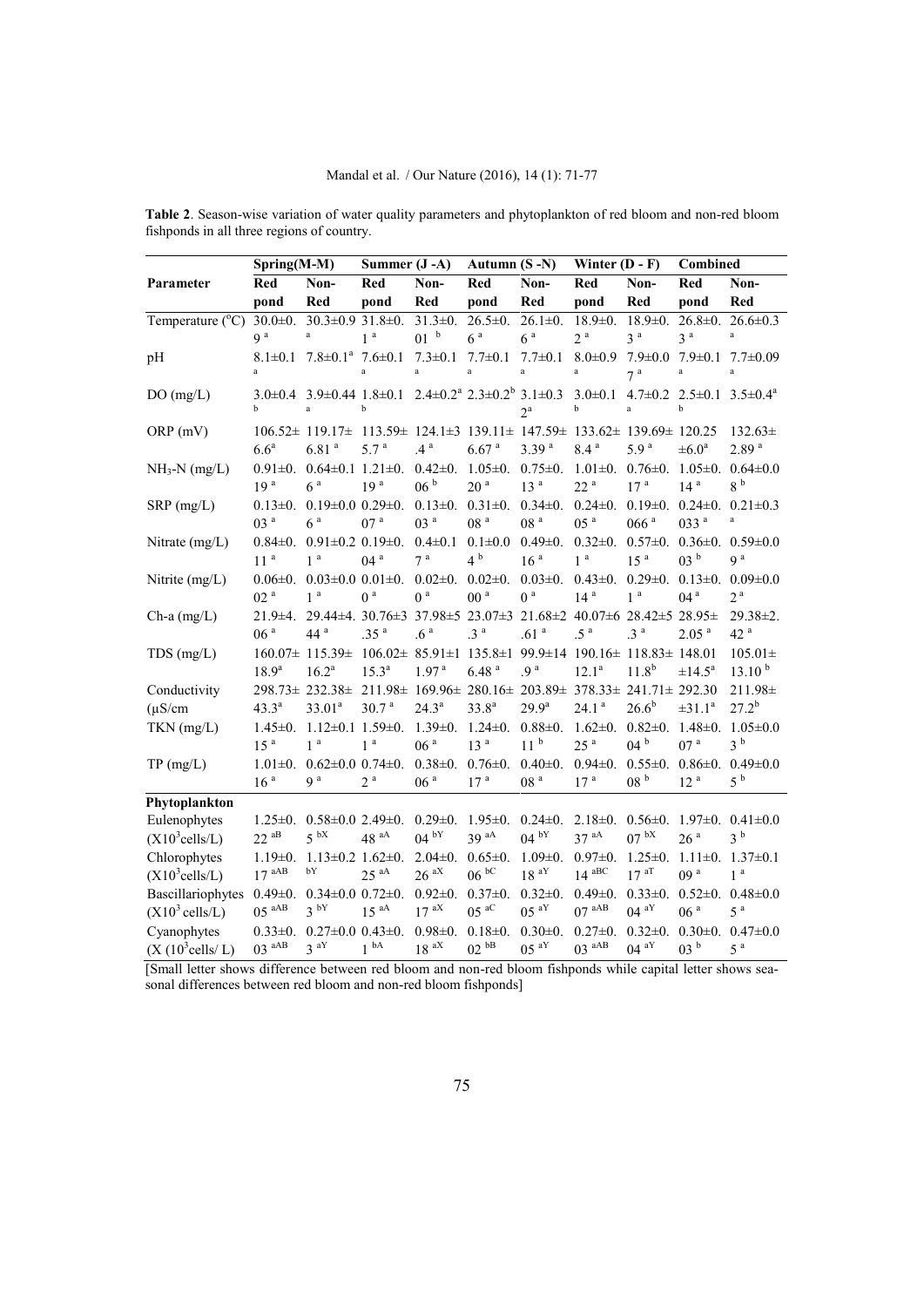|                               | Spring(M-M)                      |                                                                                                                                                | Summer (J-A)                                                                   |                             | Autumn (S-N)               |                   | Winter $(D - F)$                                                       |                  | Combined                 |                                                                                                                                       |
|-------------------------------|----------------------------------|------------------------------------------------------------------------------------------------------------------------------------------------|--------------------------------------------------------------------------------|-----------------------------|----------------------------|-------------------|------------------------------------------------------------------------|------------------|--------------------------|---------------------------------------------------------------------------------------------------------------------------------------|
| Parameter                     | Red                              | Non-                                                                                                                                           | Red                                                                            | Non-                        | Red                        | Non-              | Red                                                                    | Non-             | Red                      | Non-                                                                                                                                  |
|                               | pond                             | Red                                                                                                                                            | pond                                                                           | Red                         | pond                       | Red               | pond                                                                   | Red              | pond                     | Red                                                                                                                                   |
| Temperature (°C)              | $30.0 \pm 0.$                    | $30.3 \pm 0.931.8 \pm 0.$                                                                                                                      |                                                                                | $31.3 \pm 0.$               | $26.5 \pm 0.$              | $26.1 \pm 0.$     | $18.9 \pm 0.$                                                          | $18.9 \pm 0.$    | $26.8 \pm 0.$            | $26.6 \pm 0.3$                                                                                                                        |
|                               | $q^a$                            | $\rm{a}$                                                                                                                                       | 1 <sup>a</sup>                                                                 | 01 <sup>b</sup>             | 6 <sup>a</sup>             | 6 <sup>a</sup>    | 2 <sup>a</sup>                                                         | 3 <sup>a</sup>   | 3 <sup>a</sup>           | $\rm{a}$                                                                                                                              |
| pH                            |                                  |                                                                                                                                                |                                                                                |                             |                            |                   |                                                                        |                  |                          | $8.1\pm0.1$ $7.8\pm0.1$ <sup>a</sup> $7.6\pm0.1$ $7.3\pm0.1$ $7.7\pm0.1$ $7.7\pm0.1$ $8.0\pm0.9$ $7.9\pm0.0$ $7.9\pm0.1$ $7.7\pm0.09$ |
|                               | $\mathbf{a}$                     |                                                                                                                                                | $\mathbf{a}$                                                                   | $\rm{a}$                    | $\mathbf{a}$               | $\rm{a}$          | $\rm{a}$                                                               | 7 <sup>a</sup>   | $\rm{a}$                 | $\rm{a}$                                                                                                                              |
| DO(mg/L)                      | b                                | $3.0\pm0.4$ $3.9\pm0.44$ $1.8\pm0.1$ $2.4\pm0.2^a$ $2.3\pm0.2^b$ $3.1\pm0.3$ $3.0\pm0.1$ $4.7\pm0.2$ $2.5\pm0.1$ $3.5\pm0.4^a$<br>$\mathbf{a}$ | $\mathbf b$                                                                    |                             |                            | $2^a$             | b                                                                      | $\mathbf{a}$     | $\mathbf b$              |                                                                                                                                       |
| ORP (mV)                      | 6.6 <sup>a</sup>                 | 106.52± 119.17± 113.59± 124.1±3 139.11± 147.59± 133.62± 139.69± 120.25<br>6.81 <sup>a</sup>                                                    | 5.7 <sup>a</sup>                                                               | $4^a$                       | $6.67$ <sup>a</sup>        | 3.39 <sup>a</sup> | 8.4 <sup>a</sup>                                                       | 5.9 <sup>a</sup> | $\pm 6.0^{\circ}$        | $132.63\pm$<br>2.89 <sup>a</sup>                                                                                                      |
| $NH_3-N$ (mg/L)               |                                  |                                                                                                                                                |                                                                                |                             |                            |                   |                                                                        |                  |                          | $0.91\pm0.$ $0.64\pm0.1$ $1.21\pm0.$ $0.42\pm0.$ $1.05\pm0.$ $0.75\pm0.$ $1.01\pm0.$ $0.76\pm0.$ $1.05\pm0.$ $0.64\pm0.0$             |
|                               | 19 <sup>a</sup>                  | 6 <sup>a</sup>                                                                                                                                 | 19 <sup>a</sup>                                                                | 06 <sup>b</sup>             | 20 <sup>a</sup>            | 13 <sup>a</sup>   | 22 <sup>a</sup>                                                        | 17 <sup>a</sup>  | 14 <sup>a</sup>          | 8 <sup>b</sup>                                                                                                                        |
| $SRP$ (mg/L)                  | 03 <sup>a</sup>                  | $0.13\pm0$ . $0.19\pm0.0$ $0.29\pm0$ . $0.13\pm0$ . $0.31\pm0$ . $0.34\pm0$ .<br>6 <sup>a</sup>                                                | 07 <sup>a</sup>                                                                | 03 <sup>a</sup>             | 08 <sup>a</sup>            | 08 <sup>a</sup>   | 05 <sup>a</sup>                                                        | 066 <sup>a</sup> | 033 <sup>a</sup>         | $0.24\pm0.$ $0.19\pm0.$ $0.24\pm0.$ $0.21\pm0.3$<br>$\rm{a}$                                                                          |
| Nitrate (mg/L)                |                                  | $0.84\pm0.$ $0.91\pm0.2$ $0.19\pm0.$ $0.4\pm0.1$ $0.1\pm0.0$                                                                                   |                                                                                |                             |                            | $0.49 \pm 0.$     |                                                                        |                  |                          | $0.32\pm0.$ $0.57\pm0.$ $0.36\pm0.$ $0.59\pm0.0$                                                                                      |
|                               | 11 <sup>a</sup>                  | 1 <sup>a</sup>                                                                                                                                 | 04 <sup>a</sup>                                                                | 7 <sup>a</sup>              | 4 <sup>b</sup>             | 16 <sup>a</sup>   | 1 <sup>a</sup>                                                         | 15 <sup>a</sup>  | 03 <sup>b</sup>          | q <sup>a</sup>                                                                                                                        |
| Nitrite $(mg/L)$              | $0.06 \pm 0.$<br>02 <sup>a</sup> | 1 <sup>a</sup>                                                                                                                                 | $0.03\pm0.0$ $0.01\pm0$ . $0.02\pm0$ . $0.02\pm0$ .<br>0 <sup>a</sup>          | 0 <sup>a</sup>              | 00 <sup>a</sup>            | 0 <sup>a</sup>    | $0.03\pm0$ . $0.43\pm0$ . $0.29\pm0$ . $0.13\pm0$ .<br>14 <sup>a</sup> | 1 <sup>a</sup>   | 04 <sup>a</sup>          | $0.09 \pm 0.0$<br>2 <sup>a</sup>                                                                                                      |
| $Ch-a$ (mg/L)                 |                                  | 21.9±4. 29.44±4. 30.76±3 37.98±5 23.07±3 21.68±2 40.07±6 28.42±5 28.95±                                                                        |                                                                                |                             |                            |                   |                                                                        |                  |                          | $29.38 \pm 2.$                                                                                                                        |
|                               | 06 <sup>a</sup>                  | 44 <sup>a</sup>                                                                                                                                | .35 <sup>a</sup>                                                               | .6 <sup>a</sup>             | .3 <sup>a</sup>            | .61 <sup>a</sup>  | .5 <sup>a</sup>                                                        | .3 <sup>a</sup>  | 2.05 <sup>a</sup>        | 42 <sup>a</sup>                                                                                                                       |
| $TDS$ (mg/L)                  |                                  | $160.07\pm$ 115.39 ± $106.02\pm$ 85.91 ± 135.8 ± 199.9 ± 14 190.16 ± 118.83 ± 148.01                                                           |                                                                                |                             |                            |                   |                                                                        |                  |                          | $105.01 \pm$                                                                                                                          |
|                               | 18.9 <sup>a</sup>                | $16.2^a$                                                                                                                                       | $15.3^{a}$                                                                     | 1.97 <sup>a</sup>           | 6.48 <sup>a</sup>          | .9 <sup>a</sup>   | $12.1^a$                                                               | $11.8^{b}$       | $\pm 14.5^{\circ}$       | 13.10 <sup>b</sup>                                                                                                                    |
| Conductivity                  |                                  | 298.73± 232.38± 211.98± 169.96± 280.16± 203.89± 378.33± 241.71± 292.30                                                                         |                                                                                |                             |                            |                   |                                                                        |                  |                          | $211.98 \pm$                                                                                                                          |
| $(\mu S/cm)$                  | $43.3^{a}$                       | 33.01 <sup>a</sup>                                                                                                                             | 30.7 <sup>a</sup>                                                              | $24.3^{\rm a}$              | $33.8^{a}$                 | $29.9^a$          | 24.1 <sup>a</sup>                                                      | $26.6^{b}$       | $\pm 31.1^a$             | $27.2^{b}$                                                                                                                            |
| $TKN$ (mg/L)                  | $1.45 \pm 0.$<br>$15a$           | 1 <sup>a</sup>                                                                                                                                 | $1.12\pm0.1$ $1.59\pm0.$ $1.39\pm0.$ $1.24\pm0.$ $0.88\pm0.$<br>1 <sup>a</sup> | 06 <sup>a</sup>             | 13 <sup>a</sup>            | 11 <sup>b</sup>   | 25 <sup>a</sup>                                                        | 04 <sup>b</sup>  | 07 <sup>a</sup>          | 1.62 $\pm$ 0. 0.82 $\pm$ 0. 1.48 $\pm$ 0. 1.05 $\pm$ 0.0<br>3 <sup>b</sup>                                                            |
| TP(mg/L)                      | $1.01 \pm 0.$                    |                                                                                                                                                | $0.62 \pm 0.0$ $0.74 \pm 0.$                                                   | $0.38\pm0.$ 0.76 $\pm0.$    |                            | $0.40 \pm 0.$     | $0.94 \pm 0.$                                                          |                  | $0.55\pm0.$ 0.86 $\pm0.$ | $0.49 \pm 0.0$                                                                                                                        |
|                               | 16 <sup>a</sup>                  | 9 <sup>a</sup>                                                                                                                                 | $2^a$                                                                          | 06 <sup>a</sup>             | 17 <sup>a</sup>            | $08\,$ $^{\rm a}$ | 17 <sup>a</sup>                                                        | 08 <sup>b</sup>  | 12 <sup>a</sup>          | $5^{\mathrm{b}}$                                                                                                                      |
| Phytoplankton                 |                                  |                                                                                                                                                |                                                                                |                             |                            |                   |                                                                        |                  |                          |                                                                                                                                       |
| Eulenophytes                  | $1.25 \pm 0.$                    |                                                                                                                                                | $0.58 \pm 0.0$ 2.49 $\pm$ 0.                                                   |                             | $0.29\pm 0.$ 1.95 $\pm 0.$ | $0.24 \pm 0.$     |                                                                        |                  |                          | 2.18 $\pm$ 0. 0.56 $\pm$ 0. 1.97 $\pm$ 0. 0.41 $\pm$ 0.0                                                                              |
| $(X10^3$ cells/L)             | $22^{aB}$                        | $5^{bX}$                                                                                                                                       | $48$ <sup>aA</sup>                                                             | $04^{pY}$                   | 39 <sup>~aA</sup>          | $04^{bY}$         | $37^{aA}$                                                              | $07^{bX}$        | 26 <sup>a</sup>          | 3 <sup>b</sup>                                                                                                                        |
| Chlorophytes                  | $1.19 \pm 0.$                    | $1.13 \pm 0.2$ $1.62 \pm 0.$                                                                                                                   |                                                                                | $2.04\pm0.$ 0.65 $\pm0.$    |                            | $1.09 \pm 0.$     | $0.97 \pm 0.$                                                          |                  |                          | $1.25\pm0.$ $1.11\pm0.$ $1.37\pm0.1$                                                                                                  |
| $(X10^3$ cells/L)             | $17^{aAB}$                       | bY                                                                                                                                             | $25~^{\mathrm{aA}}$                                                            | $26^{aX}$                   | $06^{bC}$                  | 18 <sup> aY</sup> | $14~^{\mathrm{aBC}}$                                                   | $17^{aT}$        | 09 <sup>a</sup>          | 1 <sup>a</sup>                                                                                                                        |
| Bascillariophytes             | $0.49 \pm 0.$                    |                                                                                                                                                | $0.34 \pm 0.0$ $0.72 \pm 0.$                                                   | $0.92 \pm 0.$ $0.37 \pm 0.$ |                            | $0.32 \pm 0.$     | $0.49 \pm 0.$                                                          |                  |                          | $0.33\pm0.$ $0.52\pm0.$ $0.48\pm0.0$                                                                                                  |
| $(X10^3 \text{ cells/L})$     | $05^{AAB}$                       | $3^{bY}$                                                                                                                                       | $15^{aA}$                                                                      | $17^{aX}$                   | $05^{aC}$                  | $05^{aY}$         | $07~^{\mathrm{aAB}}$                                                   | $04^{aY}$        | 06 <sup>a</sup>          | 5 <sup>a</sup>                                                                                                                        |
| Cyanophytes                   |                                  | $0.33\pm0.$ $0.27\pm0.0$ $0.43\pm0.$                                                                                                           |                                                                                |                             | $0.98\pm0.$ $0.18\pm0.$    | $0.30 \pm 0.$     | $0.27 \pm 0.$                                                          | $0.32 \pm 0.$    |                          | $0.30\pm0.$ $0.47\pm0.0$                                                                                                              |
| (X (10 <sup>3</sup> cells/L)) | $03$ aAB                         | $3^{aY}$                                                                                                                                       | 1 <sup>bA</sup>                                                                | $18~^{\mathrm{aX}}$         | $02~^{\mathrm{bB}}$        | $05^{aY}$         | $03$ aAB                                                               | $04^{aY}$        | 03 <sup>b</sup>          | 5 <sup>a</sup>                                                                                                                        |

**Table 2**. Season-wise variation of water quality parameters and phytoplankton of red bloom and non-red bloom fishponds in all three regions of country.

[Small letter shows difference between red bloom and non-red bloom fishponds while capital letter shows sea sonal differences between red bloom and non-red bloom fishponds]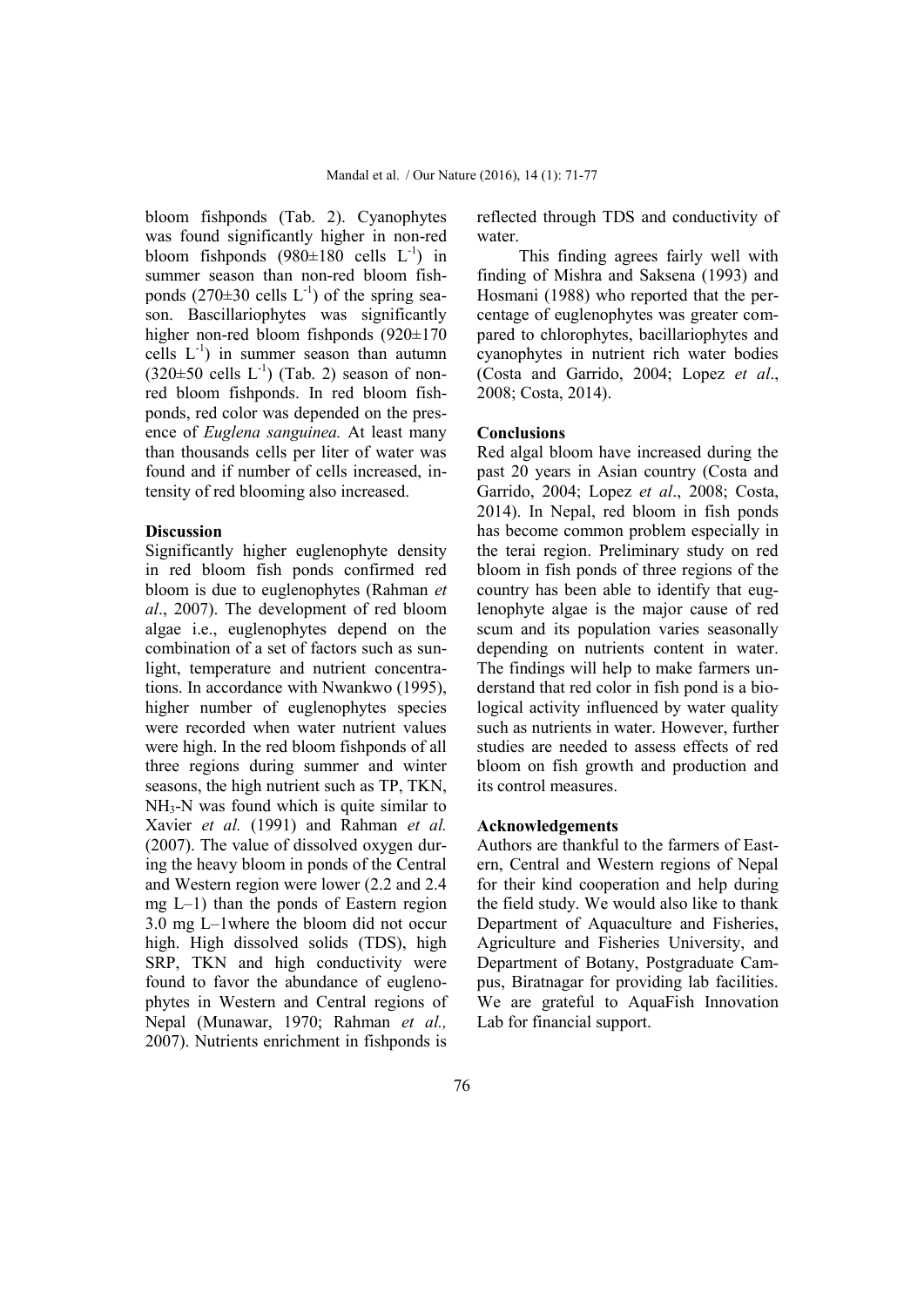bloom fishponds (Tab. 2). Cyanophytes was found significantly higher in non-red bloom fishponds  $(980\pm180 \text{ cells } L^{-1})$  in summer season than non-red bloom fishponds  $(270\pm30 \text{ cells } L^{-1})$  of the spring season. Bascillariophytes was significantly higher non-red bloom fishponds (920±170) cells  $L^{-1}$ ) in summer season than autumn  $(320\pm50 \text{ cells } L^{-1})$  (Tab. 2) season of nonred bloom fishponds. In red bloom fishponds, red color was depended on the presence of *Euglena sanguinea.* At least many than thousands cells per liter of water was found and if number of cells increased, intensity of red blooming also increased.

#### **Discussion**

Significantly higher euglenophyte density in red bloom fish ponds confirmed red bloom is due to euglenophytes (Rahman *et al*., 2007). The development of red bloom algae i.e., euglenophytes depend on the combination of a set of factors such as sunlight, temperature and nutrient concentrations. In accordance with Nwankwo (1995), higher number of euglenophytes species were recorded when water nutrient values were high. In the red bloom fishponds of all three regions during summer and winter seasons, the high nutrient such as TP, TKN, NH3-N was found which is quite similar to Xavier *et al.* (1991) and Rahman *et al.* (2007). The value of dissolved oxygen during the heavy bloom in ponds of the Central and Western region were lower (2.2 and 2.4 mg L–1) than the ponds of Eastern region 3.0 mg L–1where the bloom did not occur high. High dissolved solids (TDS), high SRP, TKN and high conductivity were found to favor the abundance of euglenophytes in Western and Central regions of Nepal (Munawar, 1970; Rahman *et al.,* 2007). Nutrients enrichment in fishponds is

reflected through TDS and conductivity of water.

This finding agrees fairly well with finding of Mishra and Saksena (1993) and Hosmani (1988) who reported that the percentage of euglenophytes was greater compared to chlorophytes, bacillariophytes and cyanophytes in nutrient rich water bodies (Costa and Garrido, 2004; Lopez *et al*., 2008; Costa, 2014).

## **Conclusions**

Red algal bloom have increased during the past 20 years in Asian country (Costa and Garrido, 2004; Lopez *et al*., 2008; Costa, 2014). In Nepal, red bloom in fish ponds has become common problem especially in the terai region. Preliminary study on red bloom in fish ponds of three regions of the country has been able to identify that euglenophyte algae is the major cause of red scum and its population varies seasonally depending on nutrients content in water. The findings will help to make farmers understand that red color in fish pond is a biological activity influenced by water quality such as nutrients in water. However, further studies are needed to assess effects of red bloom on fish growth and production and its control measures.

### **Acknowledgements**

Authors are thankful to the farmers of Eastern, Central and Western regions of Nepal for their kind cooperation and help during the field study. We would also like to thank Department of Aquaculture and Fisheries, Agriculture and Fisheries University, and Department of Botany, Postgraduate Campus, Biratnagar for providing lab facilities. We are grateful to AquaFish Innovation Lab for financial support.